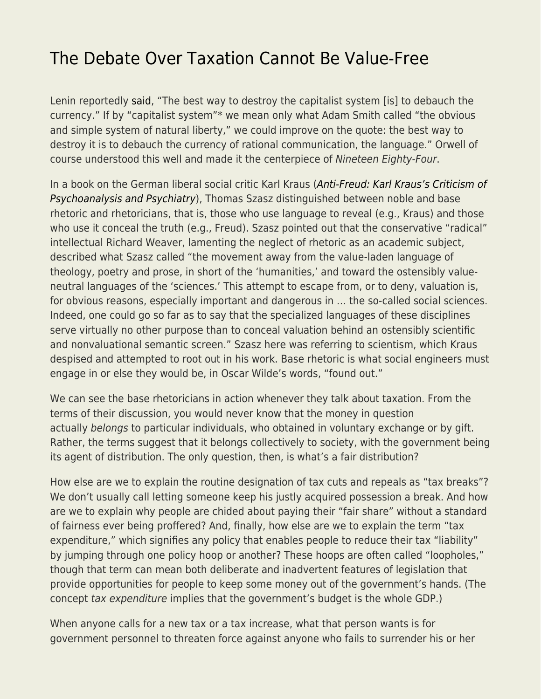## [The Debate Over Taxation Cannot Be Value-Free](https://everything-voluntary.com/the-debate-over-taxation-cannot-be-value-free)

Lenin reportedly [said](https://www.aeaweb.org/articles?id=10.1257/jep.23.2.213), "The best way to destroy the capitalist system [is] to debauch the currency." If by "capitalist system"\* we mean only what Adam Smith called "the obvious and simple system of natural liberty," we could improve on the quote: the best way to destroy it is to debauch the currency of rational communication, the language." Orwell of course understood this well and made it the centerpiece of Nineteen Eighty-Four.

In a book on the German liberal social critic Karl Kraus ([Anti-Freud: Karl Kraus's Criticism of](https://www.amazon.com/Anti-Freud-Krauss-Criticism-Psychoanalysis-Psychiatry/dp/0815602472) [Psychoanalysis and Psychiatry](https://www.amazon.com/Anti-Freud-Krauss-Criticism-Psychoanalysis-Psychiatry/dp/0815602472)), Thomas Szasz distinguished between noble and base rhetoric and rhetoricians, that is, those who use language to reveal (e.g., Kraus) and those who use it conceal the truth (e.g., Freud). Szasz pointed out that the conservative "radical" intellectual Richard Weaver, lamenting the neglect of rhetoric as an academic subject, described what Szasz called "the movement away from the value-laden language of theology, poetry and prose, in short of the 'humanities,' and toward the ostensibly valueneutral languages of the 'sciences.' This attempt to escape from, or to deny, valuation is, for obvious reasons, especially important and dangerous in … the so-called social sciences. Indeed, one could go so far as to say that the specialized languages of these disciplines serve virtually no other purpose than to conceal valuation behind an ostensibly scientific and nonvaluational semantic screen." Szasz here was referring to scientism, which Kraus despised and attempted to root out in his work. Base rhetoric is what social engineers must engage in or else they would be, in Oscar Wilde's words, "found out."

We can see the base rhetoricians in action whenever they talk about taxation. From the terms of their discussion, you would never know that the money in question actually belongs to particular individuals, who obtained in voluntary exchange or by gift. Rather, the terms suggest that it belongs collectively to society, with the government being its agent of distribution. The only question, then, is what's a fair distribution?

How else are we to explain the routine designation of tax cuts and repeals as "tax breaks"? We don't usually call letting someone keep his justly acquired possession a break. And how are we to explain why people are chided about paying their "fair share" without a standard of fairness ever being proffered? And, finally, how else are we to explain the term "tax expenditure," which signifies any policy that enables people to reduce their tax "liability" by jumping through one policy hoop or another? These hoops are often called "loopholes," though that term can mean both deliberate and inadvertent features of legislation that provide opportunities for people to keep some money out of the government's hands. (The concept tax expenditure implies that the government's budget is the whole GDP.)

When anyone calls for a new tax or a tax increase, what that person wants is for government personnel to threaten force against anyone who fails to surrender his or her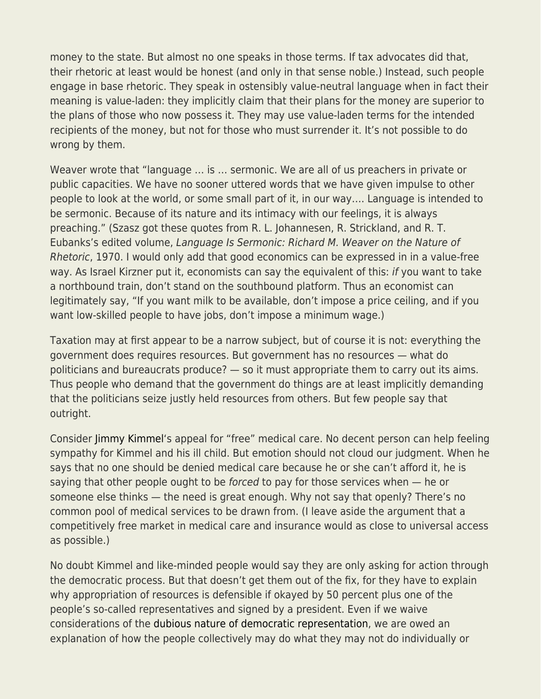money to the state. But almost no one speaks in those terms. If tax advocates did that, their rhetoric at least would be honest (and only in that sense noble.) Instead, such people engage in base rhetoric. They speak in ostensibly value-neutral language when in fact their meaning is value-laden: they implicitly claim that their plans for the money are superior to the plans of those who now possess it. They may use value-laden terms for the intended recipients of the money, but not for those who must surrender it. It's not possible to do wrong by them.

Weaver wrote that "language … is … sermonic. We are all of us preachers in private or public capacities. We have no sooner uttered words that we have given impulse to other people to look at the world, or some small part of it, in our way…. Language is intended to be sermonic. Because of its nature and its intimacy with our feelings, it is always preaching." (Szasz got these quotes from R. L. Johannesen, R. Strickland, and R. T. Eubanks's edited volume, Language Is Sermonic: Richard M. Weaver on the Nature of Rhetoric, 1970. I would only add that good economics can be expressed in in a value-free way. As Israel Kirzner put it, economists can say the equivalent of this: if you want to take a northbound train, don't stand on the southbound platform. Thus an economist can legitimately say, "If you want milk to be available, don't impose a price ceiling, and if you want low-skilled people to have jobs, don't impose a minimum wage.)

Taxation may at first appear to be a narrow subject, but of course it is not: everything the government does requires resources. But government has no resources — what do politicians and bureaucrats produce? — so it must appropriate them to carry out its aims. Thus people who demand that the government do things are at least implicitly demanding that the politicians seize justly held resources from others. But few people say that outright.

Consider [Jimmy Kimmel](https://www.theatlantic.com/health/archive/2017/05/why-kimmels-obamacare-pitch-worked/525075/)'s appeal for "free" medical care. No decent person can help feeling sympathy for Kimmel and his ill child. But emotion should not cloud our judgment. When he says that no one should be denied medical care because he or she can't afford it, he is saying that other people ought to be forced to pay for those services when – he or someone else thinks — the need is great enough. Why not say that openly? There's no common pool of medical services to be drawn from. (I leave aside the argument that a competitively free market in medical care and insurance would as close to universal access as possible.)

No doubt Kimmel and like-minded people would say they are only asking for action through the democratic process. But that doesn't get them out of the fix, for they have to explain why appropriation of resources is defensible if okayed by 50 percent plus one of the people's so-called representatives and signed by a president. Even if we waive considerations of the [dubious nature of democratic representation,](https://fee.org/resources/the-misrepresentation-of-healthcare-reform/) we are owed an explanation of how the people collectively may do what they may not do individually or